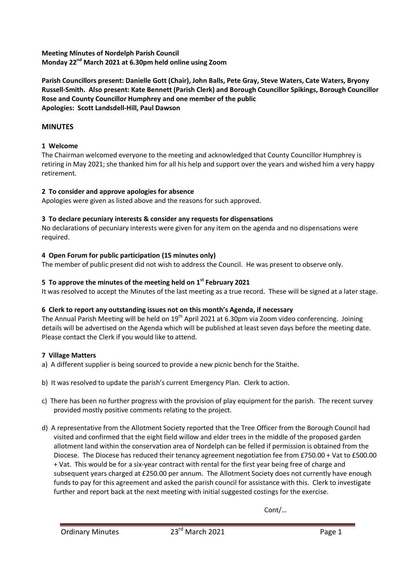**Meeting Minutes of Nordelph Parish Council Monday 22nd March 2021 at 6.30pm held online using Zoom** 

**Parish Councillors present: Danielle Gott (Chair), John Balls, Pete Gray, Steve Waters, Cate Waters, Bryony Russell-Smith. Also present: Kate Bennett (Parish Clerk) and Borough Councillor Spikings, Borough Councillor Rose and County Councillor Humphrey and one member of the public Apologies: Scott Landsdell-Hill, Paul Dawson**

# **MINUTES**

# **1 Welcome**

The Chairman welcomed everyone to the meeting and acknowledged that County Councillor Humphrey is retiring in May 2021; she thanked him for all his help and support over the years and wished him a very happy retirement.

# **2 To consider and approve apologies for absence**

Apologies were given as listed above and the reasons for such approved.

# **3 To declare pecuniary interests & consider any requests for dispensations**

No declarations of pecuniary interests were given for any item on the agenda and no dispensations were required.

# **4 Open Forum for public participation (15 minutes only)**

The member of public present did not wish to address the Council. He was present to observe only.

# **5 To approve the minutes of the meeting held on 1st February 2021**

It was resolved to accept the Minutes of the last meeting as a true record. These will be signed at a later stage.

# **6 Clerk to report any outstanding issues not on this month's Agenda, if necessary**

The Annual Parish Meeting will be held on 19<sup>th</sup> April 2021 at 6.30pm via Zoom video conferencing. Joining details will be advertised on the Agenda which will be published at least seven days before the meeting date. Please contact the Clerk if you would like to attend.

# **7 Village Matters**

- a) A different supplier is being sourced to provide a new picnic bench for the Staithe.
- b) It was resolved to update the parish's current Emergency Plan. Clerk to action.
- c) There has been no further progress with the provision of play equipment for the parish. The recent survey provided mostly positive comments relating to the project.
- d) A representative from the Allotment Society reported that the Tree Officer from the Borough Council had visited and confirmed that the eight field willow and elder trees in the middle of the proposed garden allotment land within the conservation area of Nordelph can be felled if permission is obtained from the Diocese. The Diocese has reduced their tenancy agreement negotiation fee from £750.00 + Vat to £500.00 + Vat. This would be for a six-year contract with rental for the first year being free of charge and subsequent years charged at £250.00 per annum. The Allotment Society does not currently have enough funds to pay for this agreement and asked the parish council for assistance with this. Clerk to investigate further and report back at the next meeting with initial suggested costings for the exercise.

Cont/…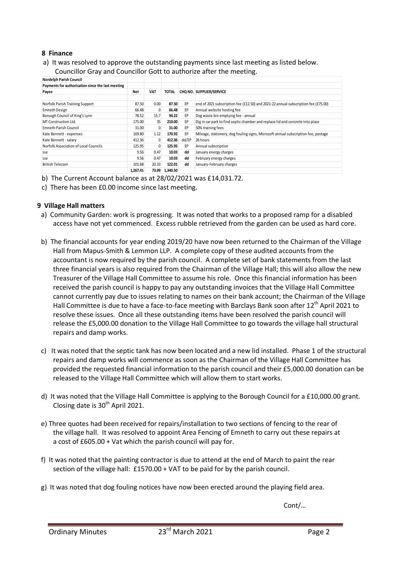## **8 Finance**

a) It was resolved to approve the outstanding payments since last meeting as listed below.

| <b>Nordelph Parish Council</b>                    |          |            |              |       |                                                                                    |
|---------------------------------------------------|----------|------------|--------------|-------|------------------------------------------------------------------------------------|
| Payments for authorisation since the last meeting |          |            |              |       |                                                                                    |
| Payee                                             | Net      | <b>VAT</b> | <b>TOTAL</b> |       | CHO NO. SUPPLIER/SERVICE                                                           |
|                                                   |          |            |              |       |                                                                                    |
| Norfolk Parish Training Support                   | 87.50    | 0.00       | 87.50        | EP    | end of 2021 subscription fee (£12.50) and 2021-22 annual subscription fee (£75.00) |
| Emneth Design                                     | 66.48    |            | 66.48        | EP    | Annual website hosting fee                                                         |
| Borough Council of King's Lynn                    | 78.52    | 15.7       | 94.22        | EP    | Dog waste bin emptying fee - annual                                                |
| MT Construction Ltd.                              | 175.00   | 35         | 210.00       | EP    | Dig in car park to find septic chamber and replace lid and concrete into place     |
| Emneth Parish Council                             | 31.00    | 0          | 31.00        | EP    | 50% training fees                                                                  |
| Kate Bennett - expenses                           | 169.80   | 1.12       | 170.92       | EP    | Mileage, stationery, dog fouling signs, Microsoft annual subscription fee, postage |
| Kate Bennett - salary                             | 412.36   | 0          | 412.36       | dd/EP | 26 hours                                                                           |
| Norfolk Association of Local Councils             | 125.95   | $\Omega$   | 125.95       | EP    | Annual subscription                                                                |
| sse                                               | 9.56     | 0.47       | 10.03        | dd    | January energy charges                                                             |
| sse                                               | 9.56     | 0.47       | 10.03        | dd    | February energy charges                                                            |
| <b>British Telecom</b>                            | 101.68   | 20.33      | 122.01       | dd    | January-February charges                                                           |
|                                                   | 1,267.41 | 73.09      | 1,340.50     |       |                                                                                    |

Councillor Gray and Councillor Gott to authorize after the meeting.

b) The Current Account balance as at 28/02/2021 was £14,031.72.

c) There has been £0.00 income since last meeting.

#### **9 Village Hall matters**

- a) Community Garden: work is progressing. It was noted that works to a proposed ramp for a disabled access have not yet commenced. Excess rubble retrieved from the garden can be used as hard core.
- b) The financial accounts for year ending 2019/20 have now been returned to the Chairman of the Village Hall from Mapus-Smith & Lemmon LLP. A complete copy of these audited accounts from the accountant is now required by the parish council. A complete set of bank statements from the last three financial years is also required from the Chairman of the Village Hall; this will also allow the new Treasurer of the Village Hall Committee to assume his role. Once this financial information has been received the parish council is happy to pay any outstanding invoices that the Village Hall Committee cannot currently pay due to issues relating to names on their bank account; the Chairman of the Village Hall Committee is due to have a face-to-face meeting with Barclays Bank soon after  $12^{th}$  April 2021 to resolve these issues. Once all these outstanding items have been resolved the parish council will release the £5,000.00 donation to the Village Hall Committee to go towards the village hall structural repairs and damp works.
- c) It was noted that the septic tank has now been located and a new lid installed. Phase 1 of the structural repairs and damp works will commence as soon as the Chairman of the Village Hall Committee has provided the requested financial information to the parish council and their £5,000.00 donation can be released to the Village Hall Committee which will allow them to start works.
- d) It was noted that the Village Hall Committee is applying to the Borough Council for a £10,000.00 grant. Closing date is  $30<sup>th</sup>$  April 2021.
- e) Three quotes had been received for repairs/installation to two sections of fencing to the rear of the village hall. It was resolved to appoint Area Fencing of Emneth to carry out these repairs at a cost of £605.00 + Vat which the parish council will pay for.
- f) It was noted that the painting contractor is due to attend at the end of March to paint the rear section of the village hall: £1570.00 + VAT to be paid for by the parish council.
- g) It was noted that dog fouling notices have now been erected around the playing field area.

Cont/…